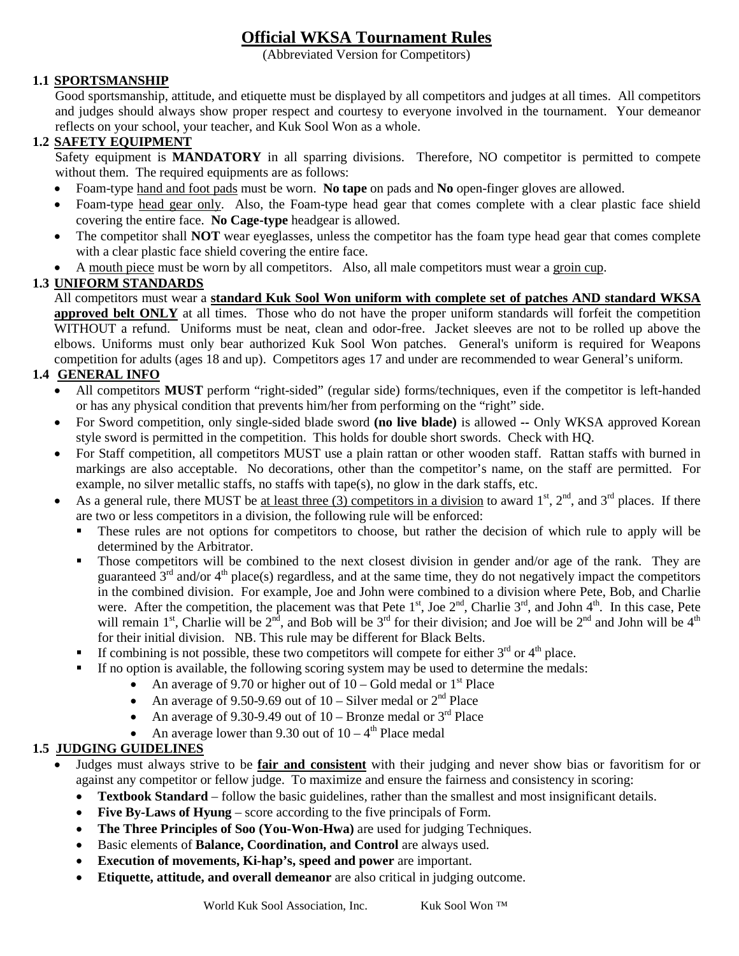# **Official WKSA Tournament Rules**

(Abbreviated Version for Competitors)

### **1.1 SPORTSMANSHIP**

Good sportsmanship, attitude, and etiquette must be displayed by all competitors and judges at all times. All competitors and judges should always show proper respect and courtesy to everyone involved in the tournament. Your demeanor reflects on your school, your teacher, and Kuk Sool Won as a whole.

#### **1.2 SAFETY EQUIPMENT**

Safety equipment is **MANDATORY** in all sparring divisions. Therefore, NO competitor is permitted to compete without them. The required equipments are as follows:

- Foam-type hand and foot pads must be worn. **No tape** on pads and **No** open-finger gloves are allowed.
- Foam-type head gear only. Also, the Foam-type head gear that comes complete with a clear plastic face shield covering the entire face. **No Cage-type** headgear is allowed.
- The competitor shall **NOT** wear eyeglasses, unless the competitor has the foam type head gear that comes complete with a clear plastic face shield covering the entire face.
- A mouth piece must be worn by all competitors. Also, all male competitors must wear a groin cup.

#### **1.3 UNIFORM STANDARDS**

All competitors must wear a **standard Kuk Sool Won uniform with complete set of patches AND standard WKSA approved belt ONLY** at all times. Those who do not have the proper uniform standards will forfeit the competition WITHOUT a refund. Uniforms must be neat, clean and odor-free. Jacket sleeves are not to be rolled up above the elbows. Uniforms must only bear authorized Kuk Sool Won patches. General's uniform is required for Weapons competition for adults (ages 18 and up). Competitors ages 17 and under are recommended to wear General's uniform.

#### **1.4 GENERAL INFO**

- All competitors **MUST** perform "right-sided" (regular side) forms/techniques, even if the competitor is left-handed or has any physical condition that prevents him/her from performing on the "right" side.
- For Sword competition, only single-sided blade sword **(no live blade)** is allowed **--** Only WKSA approved Korean style sword is permitted in the competition. This holds for double short swords. Check with HQ.
- For Staff competition, all competitors MUST use a plain rattan or other wooden staff. Rattan staffs with burned in markings are also acceptable. No decorations, other than the competitor's name, on the staff are permitted. For example, no silver metallic staffs, no staffs with tape(s), no glow in the dark staffs, etc.
- As a general rule, there MUST be at least three (3) competitors in a division to award  $1<sup>st</sup>$ ,  $2<sup>nd</sup>$ , and  $3<sup>rd</sup>$  places. If there are two or less competitors in a division, the following rule will be enforced:
	- These rules are not options for competitors to choose, but rather the decision of which rule to apply will be determined by the Arbitrator.
	- Those competitors will be combined to the next closest division in gender and/or age of the rank. They are guaranteed  $3<sup>rd</sup>$  and/or  $4<sup>th</sup>$  place(s) regardless, and at the same time, they do not negatively impact the competitors in the combined division. For example, Joe and John were combined to a division where Pete, Bob, and Charlie were. After the competition, the placement was that Pete  $1<sup>st</sup>$ , Joe  $2<sup>nd</sup>$ , Charlie  $3<sup>rd</sup>$ , and John  $4<sup>th</sup>$ . In this case, Pete will remain 1<sup>st</sup>, Charlie will be  $2^{nd}$ , and Bob will be  $3^{rd}$  for their division; and Joe will be  $2^{nd}$  and John will be  $4^{th}$ for their initial division. NB. This rule may be different for Black Belts.
	- If combining is not possible, these two competitors will compete for either  $3<sup>rd</sup>$  or  $4<sup>th</sup>$  place.
	- If no option is available, the following scoring system may be used to determine the medals:
		- An average of 9.70 or higher out of  $10 -$  Gold medal or  $1<sup>st</sup>$  Place
		- An average of 9.50-9.69 out of  $10 -$  Silver medal or  $2<sup>nd</sup>$  Place
		- An average of 9.30-9.49 out of  $10 -$ Bronze medal or  $3<sup>rd</sup>$  Place
		- An average lower than 9.30 out of  $10 4<sup>th</sup>$  Place medal

#### **1.5 JUDGING GUIDELINES**

- Judges must always strive to be **fair and consistent** with their judging and never show bias or favoritism for or against any competitor or fellow judge. To maximize and ensure the fairness and consistency in scoring:
	- **Textbook Standard** follow the basic guidelines, rather than the smallest and most insignificant details.
	- **Five By-Laws of Hyung** score according to the five principals of Form.
	- **The Three Principles of Soo (You-Won-Hwa)** are used for judging Techniques.
	- Basic elements of **Balance, Coordination, and Control** are always used.
	- **Execution of movements, Ki-hap's, speed and power** are important.
	- **Etiquette, attitude, and overall demeanor** are also critical in judging outcome.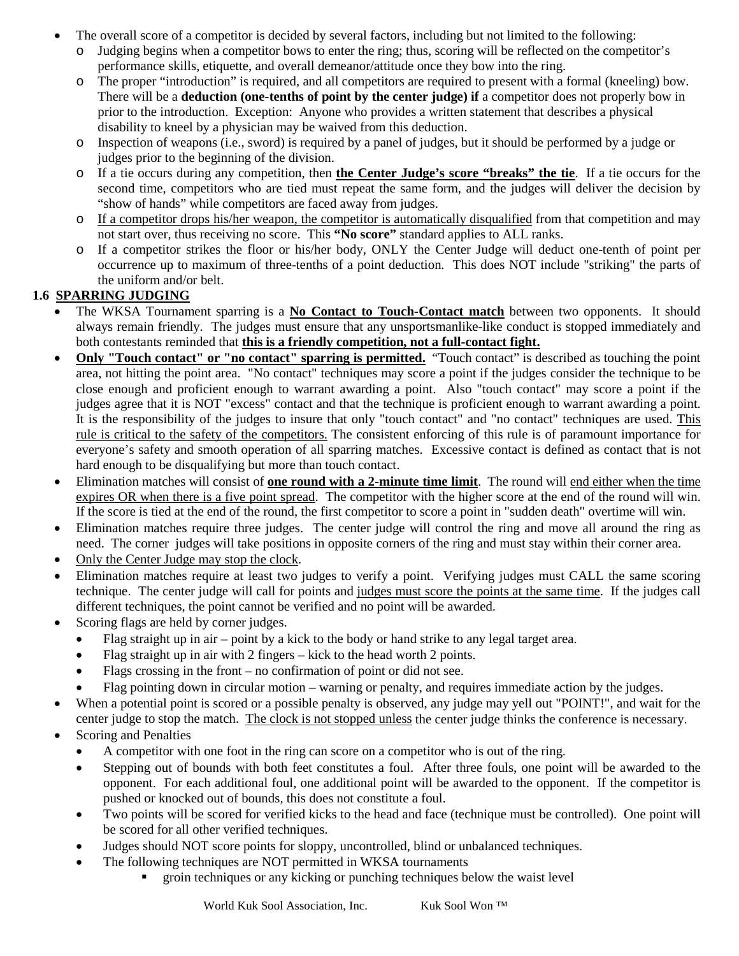- The overall score of a competitor is decided by several factors, including but not limited to the following:
	- o Judging begins when a competitor bows to enter the ring; thus, scoring will be reflected on the competitor's performance skills, etiquette, and overall demeanor/attitude once they bow into the ring.
	- o The proper "introduction" is required, and all competitors are required to present with a formal (kneeling) bow. There will be a **deduction (one-tenths of point by the center judge) if** a competitor does not properly bow in prior to the introduction. Exception: Anyone who provides a written statement that describes a physical disability to kneel by a physician may be waived from this deduction.
	- o Inspection of weapons (i.e., sword) is required by a panel of judges, but it should be performed by a judge or judges prior to the beginning of the division.
	- o If a tie occurs during any competition, then **the Center Judge's score "breaks" the tie**. If a tie occurs for the second time, competitors who are tied must repeat the same form, and the judges will deliver the decision by "show of hands" while competitors are faced away from judges.
	- o If a competitor drops his/her weapon, the competitor is automatically disqualified from that competition and may not start over, thus receiving no score. This **"No score"** standard applies to ALL ranks.
	- o If a competitor strikes the floor or his/her body, ONLY the Center Judge will deduct one-tenth of point per occurrence up to maximum of three-tenths of a point deduction. This does NOT include "striking" the parts of the uniform and/or belt.

## **1.6 SPARRING JUDGING**

- The WKSA Tournament sparring is a **No Contact to Touch-Contact match** between two opponents. It should always remain friendly. The judges must ensure that any unsportsmanlike-like conduct is stopped immediately and both contestants reminded that **this is a friendly competition, not a full-contact fight.**
- **Only "Touch contact" or "no contact" sparring is permitted.** "Touch contact" is described as touching the point area, not hitting the point area. "No contact" techniques may score a point if the judges consider the technique to be close enough and proficient enough to warrant awarding a point. Also "touch contact" may score a point if the judges agree that it is NOT "excess" contact and that the technique is proficient enough to warrant awarding a point. It is the responsibility of the judges to insure that only "touch contact" and "no contact" techniques are used. This rule is critical to the safety of the competitors. The consistent enforcing of this rule is of paramount importance for everyone's safety and smooth operation of all sparring matches. Excessive contact is defined as contact that is not hard enough to be disqualifying but more than touch contact.
- Elimination matches will consist of **one round with a 2-minute time limit**. The round will end either when the time expires OR when there is a five point spread. The competitor with the higher score at the end of the round will win. If the score is tied at the end of the round, the first competitor to score a point in "sudden death" overtime will win.
- Elimination matches require three judges. The center judge will control the ring and move all around the ring as need. The corner judges will take positions in opposite corners of the ring and must stay within their corner area.
- Only the Center Judge may stop the clock.
- Elimination matches require at least two judges to verify a point. Verifying judges must CALL the same scoring technique. The center judge will call for points and judges must score the points at the same time. If the judges call different techniques, the point cannot be verified and no point will be awarded.
- Scoring flags are held by corner judges.
	- Flag straight up in air point by a kick to the body or hand strike to any legal target area.
	- Flag straight up in air with 2 fingers kick to the head worth 2 points.
	- Flags crossing in the front no confirmation of point or did not see.
	- Flag pointing down in circular motion warning or penalty, and requires immediate action by the judges.
- When a potential point is scored or a possible penalty is observed, any judge may yell out "POINT!", and wait for the center judge to stop the match. The clock is not stopped unless the center judge thinks the conference is necessary.
- Scoring and Penalties
	- A competitor with one foot in the ring can score on a competitor who is out of the ring.
	- Stepping out of bounds with both feet constitutes a foul. After three fouls, one point will be awarded to the opponent. For each additional foul, one additional point will be awarded to the opponent. If the competitor is pushed or knocked out of bounds, this does not constitute a foul.
	- Two points will be scored for verified kicks to the head and face (technique must be controlled). One point will be scored for all other verified techniques.
	- Judges should NOT score points for sloppy, uncontrolled, blind or unbalanced techniques.
	- The following techniques are NOT permitted in WKSA tournaments
		- groin techniques or any kicking or punching techniques below the waist level